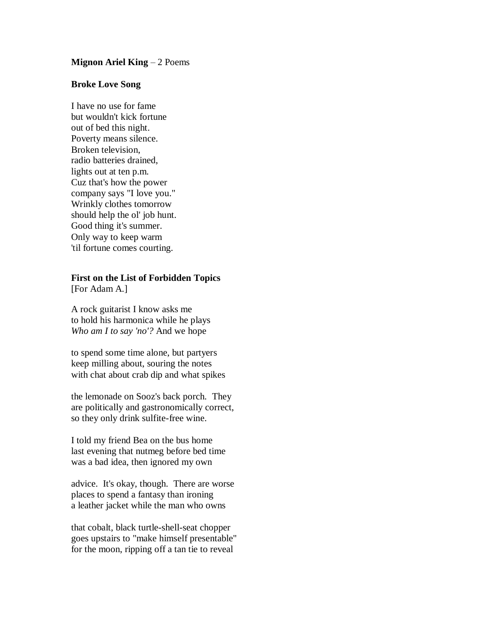## **Mignon Ariel King** – 2 Poems

## **Broke Love Song**

I have no use for fame but wouldn't kick fortune out of bed this night. Poverty means silence. Broken television, radio batteries drained, lights out at ten p.m. Cuz that's how the power company says "I love you." Wrinkly clothes tomorrow should help the ol' job hunt. Good thing it's summer. Only way to keep warm 'til fortune comes courting.

## **First on the List of Forbidden Topics** [For Adam A.]

A rock guitarist I know asks me to hold his harmonica while he plays *Who am I to say 'no'?* And we hope

to spend some time alone, but partyers keep milling about, souring the notes with chat about crab dip and what spikes

the lemonade on Sooz's back porch. They are politically and gastronomically correct, so they only drink sulfite-free wine.

I told my friend Bea on the bus home last evening that nutmeg before bed time was a bad idea, then ignored my own

advice. It's okay, though. There are worse places to spend a fantasy than ironing a leather jacket while the man who owns

that cobalt, black turtle-shell-seat chopper goes upstairs to "make himself presentable" for the moon, ripping off a tan tie to reveal